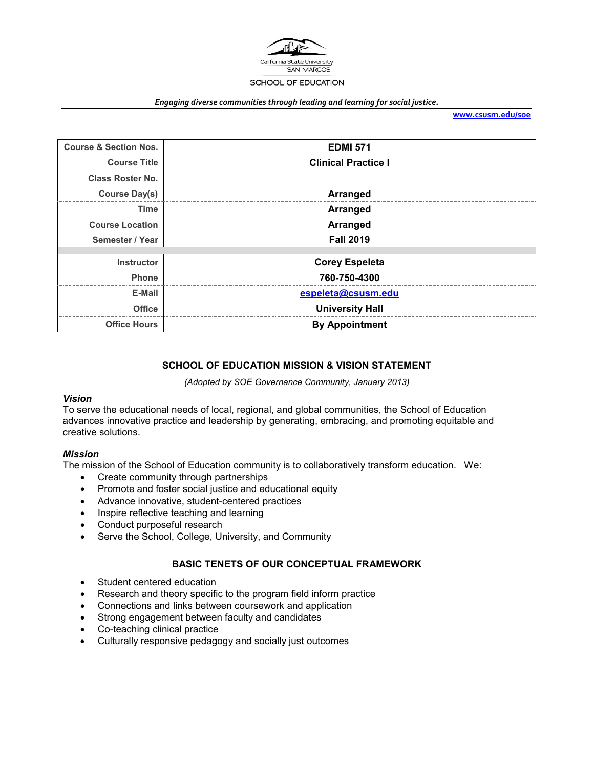

#### *Engaging diverse communities through leading and learning for social justice.*

**[www.csusm.edu/soe](http://www.csusm.edu/soe)**

| <b>Course &amp; Section Nos.</b> | <b>EDMI 571</b>            |
|----------------------------------|----------------------------|
| <b>Course Title</b>              | <b>Clinical Practice I</b> |
| <b>Class Roster No.</b>          |                            |
| Course Day(s)                    | <b>Arranged</b>            |
| Time                             | <b>Arranged</b>            |
| <b>Course Location</b>           | <b>Arranged</b>            |
| Semester / Year                  | <b>Fall 2019</b>           |
|                                  |                            |
| <b>Instructor</b>                | <b>Corey Espeleta</b>      |
| <b>Phone</b>                     | 760-750-4300               |
| E-Mail                           | espeleta@csusm.edu         |
| <b>Office</b>                    | <b>University Hall</b>     |
| <b>Office Hours</b>              | <b>By Appointment</b>      |

### **SCHOOL OF EDUCATION MISSION & VISION STATEMENT**

*(Adopted by SOE Governance Community, January 2013)*

### *Vision*

To serve the educational needs of local, regional, and global communities, the School of Education advances innovative practice and leadership by generating, embracing, and promoting equitable and creative solutions.

### *Mission*

The mission of the School of Education community is to collaboratively transform education. We:

- Create community through partnerships
- Promote and foster social justice and educational equity
- Advance innovative, student-centered practices
- Inspire reflective teaching and learning
- Conduct purposeful research
- Serve the School, College, University, and Community

### **BASIC TENETS OF OUR CONCEPTUAL FRAMEWORK**

- Student centered education
- Research and theory specific to the program field inform practice
- Connections and links between coursework and application
- Strong engagement between faculty and candidates
- Co-teaching clinical practice
- Culturally responsive pedagogy and socially just outcomes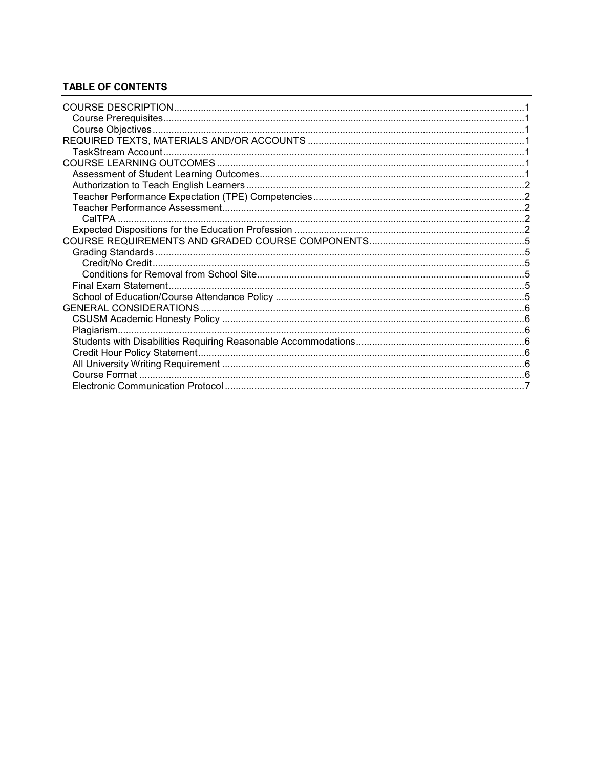# **TABLE OF CONTENTS**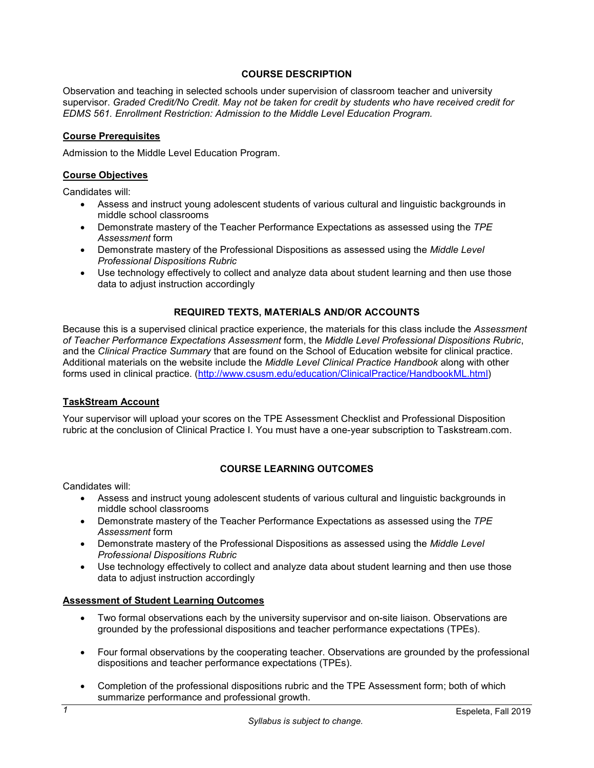# **COURSE DESCRIPTION**

<span id="page-2-0"></span>Observation and teaching in selected schools under supervision of classroom teacher and university supervisor. *Graded Credit/No Credit. May not be taken for credit by students who have received credit for EDMS 561. Enrollment Restriction: Admission to the Middle Level Education Program.*

### <span id="page-2-1"></span>**Course Prerequisites**

Admission to the Middle Level Education Program.

### <span id="page-2-2"></span>**Course Objectives**

Candidates will:

- Assess and instruct young adolescent students of various cultural and linguistic backgrounds in middle school classrooms
- Demonstrate mastery of the Teacher Performance Expectations as assessed using the *TPE Assessment* form
- Demonstrate mastery of the Professional Dispositions as assessed using the *Middle Level Professional Dispositions Rubric*
- Use technology effectively to collect and analyze data about student learning and then use those data to adjust instruction accordingly

### **REQUIRED TEXTS, MATERIALS AND/OR ACCOUNTS**

<span id="page-2-3"></span>Because this is a supervised clinical practice experience, the materials for this class include the *Assessment of Teacher Performance Expectations Assessment* form, the *Middle Level Professional Dispositions Rubric*, and the *Clinical Practice Summary* that are found on the School of Education website for clinical practice. Additional materials on the website include the *Middle Level Clinical Practice Handbook* along with other forms used in clinical practice. [\(http://www.csusm.edu/education/ClinicalPractice/HandbookML.html\)](http://www.csusm.edu/education/ClinicalPractice/HandbookML.html)

### <span id="page-2-4"></span>**TaskStream Account**

Your supervisor will upload your scores on the TPE Assessment Checklist and Professional Disposition rubric at the conclusion of Clinical Practice I. You must have a one-year subscription to Taskstream.com.

### **COURSE LEARNING OUTCOMES**

<span id="page-2-5"></span>Candidates will:

- Assess and instruct young adolescent students of various cultural and linguistic backgrounds in middle school classrooms
- Demonstrate mastery of the Teacher Performance Expectations as assessed using the *TPE Assessment* form
- Demonstrate mastery of the Professional Dispositions as assessed using the *Middle Level Professional Dispositions Rubric*
- Use technology effectively to collect and analyze data about student learning and then use those data to adjust instruction accordingly

### <span id="page-2-6"></span>**Assessment of Student Learning Outcomes**

- Two formal observations each by the university supervisor and on-site liaison. Observations are grounded by the professional dispositions and teacher performance expectations (TPEs).
- Four formal observations by the cooperating teacher. Observations are grounded by the professional dispositions and teacher performance expectations (TPEs).
- Completion of the professional dispositions rubric and the TPE Assessment form; both of which summarize performance and professional growth.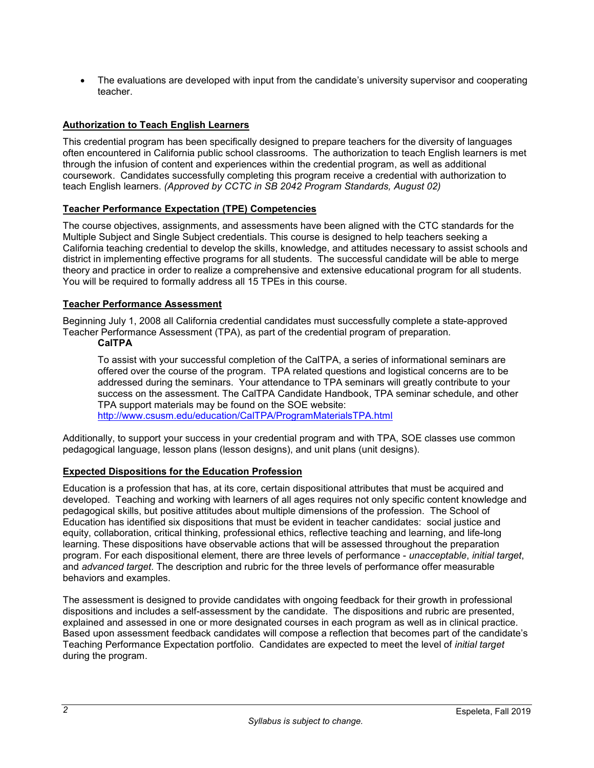The evaluations are developed with input from the candidate's university supervisor and cooperating teacher.

# <span id="page-3-0"></span>**Authorization to Teach English Learners**

This credential program has been specifically designed to prepare teachers for the diversity of languages often encountered in California public school classrooms. The authorization to teach English learners is met through the infusion of content and experiences within the credential program, as well as additional coursework. Candidates successfully completing this program receive a credential with authorization to teach English learners. *(Approved by CCTC in SB 2042 Program Standards, August 02)*

### <span id="page-3-1"></span>**Teacher Performance Expectation (TPE) Competencies**

The course objectives, assignments, and assessments have been aligned with the CTC standards for the Multiple Subject and Single Subject credentials. This course is designed to help teachers seeking a California teaching credential to develop the skills, knowledge, and attitudes necessary to assist schools and district in implementing effective programs for all students. The successful candidate will be able to merge theory and practice in order to realize a comprehensive and extensive educational program for all students. You will be required to formally address all 15 TPEs in this course.

# <span id="page-3-2"></span>**Teacher Performance Assessment**

<span id="page-3-3"></span>Beginning July 1, 2008 all California credential candidates must successfully complete a state-approved Teacher Performance Assessment (TPA), as part of the credential program of preparation.

### **CalTPA**

To assist with your successful completion of the CalTPA, a series of informational seminars are offered over the course of the program. TPA related questions and logistical concerns are to be addressed during the seminars. Your attendance to TPA seminars will greatly contribute to your success on the assessment. The CalTPA Candidate Handbook, TPA seminar schedule, and other TPA support materials may be found on the SOE website: <http://www.csusm.edu/education/CalTPA/ProgramMaterialsTPA.html>

Additionally, to support your success in your credential program and with TPA, SOE classes use common pedagogical language, lesson plans (lesson designs), and unit plans (unit designs).

### <span id="page-3-4"></span>**Expected Dispositions for the Education Profession**

Education is a profession that has, at its core, certain dispositional attributes that must be acquired and developed. Teaching and working with learners of all ages requires not only specific content knowledge and pedagogical skills, but positive attitudes about multiple dimensions of the profession. The School of Education has identified six dispositions that must be evident in teacher candidates: social justice and equity, collaboration, critical thinking, professional ethics, reflective teaching and learning, and life-long learning. These dispositions have observable actions that will be assessed throughout the preparation program. For each dispositional element, there are three levels of performance - *unacceptable*, *initial target*, and *advanced target*. The description and rubric for the three levels of performance offer measurable behaviors and examples.

The assessment is designed to provide candidates with ongoing feedback for their growth in professional dispositions and includes a self-assessment by the candidate. The dispositions and rubric are presented, explained and assessed in one or more designated courses in each program as well as in clinical practice. Based upon assessment feedback candidates will compose a reflection that becomes part of the candidate's Teaching Performance Expectation portfolio. Candidates are expected to meet the level of *initial target* during the program.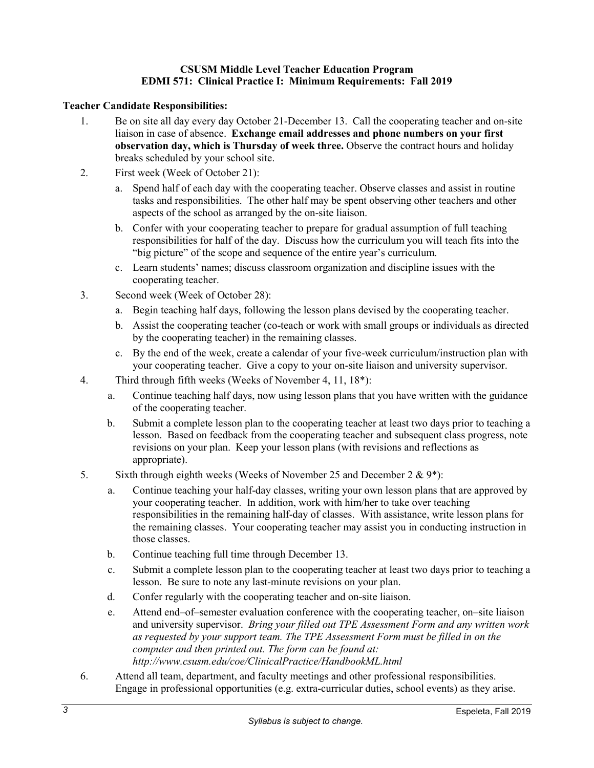# **CSUSM Middle Level Teacher Education Program EDMI 571: Clinical Practice I: Minimum Requirements: Fall 2019**

# **Teacher Candidate Responsibilities:**

- 1. Be on site all day every day October 21-December 13. Call the cooperating teacher and on-site liaison in case of absence. **Exchange email addresses and phone numbers on your first observation day, which is Thursday of week three.** Observe the contract hours and holiday breaks scheduled by your school site.
- 2. First week (Week of October 21):
	- a. Spend half of each day with the cooperating teacher. Observe classes and assist in routine tasks and responsibilities. The other half may be spent observing other teachers and other aspects of the school as arranged by the on-site liaison.
	- b. Confer with your cooperating teacher to prepare for gradual assumption of full teaching responsibilities for half of the day. Discuss how the curriculum you will teach fits into the "big picture" of the scope and sequence of the entire year's curriculum.
	- c. Learn students' names; discuss classroom organization and discipline issues with the cooperating teacher.
- 3. Second week (Week of October 28):
	- a. Begin teaching half days, following the lesson plans devised by the cooperating teacher.
	- b. Assist the cooperating teacher (co-teach or work with small groups or individuals as directed by the cooperating teacher) in the remaining classes.
	- c. By the end of the week, create a calendar of your five-week curriculum/instruction plan with your cooperating teacher. Give a copy to your on-site liaison and university supervisor.
- 4. Third through fifth weeks (Weeks of November 4, 11, 18\*):
	- a. Continue teaching half days, now using lesson plans that you have written with the guidance of the cooperating teacher.
	- b. Submit a complete lesson plan to the cooperating teacher at least two days prior to teaching a lesson. Based on feedback from the cooperating teacher and subsequent class progress, note revisions on your plan. Keep your lesson plans (with revisions and reflections as appropriate).
- 5. Sixth through eighth weeks (Weeks of November 25 and December 2 & 9\*):
	- a. Continue teaching your half-day classes, writing your own lesson plans that are approved by your cooperating teacher. In addition, work with him/her to take over teaching responsibilities in the remaining half-day of classes. With assistance, write lesson plans for the remaining classes. Your cooperating teacher may assist you in conducting instruction in those classes.
	- b. Continue teaching full time through December 13.
	- c. Submit a complete lesson plan to the cooperating teacher at least two days prior to teaching a lesson. Be sure to note any last-minute revisions on your plan.
	- d. Confer regularly with the cooperating teacher and on-site liaison.
	- e. Attend end–of–semester evaluation conference with the cooperating teacher, on–site liaison and university supervisor. *Bring your filled out TPE Assessment Form and any written work as requested by your support team. The TPE Assessment Form must be filled in on the computer and then printed out. The form can be found at: http://www.csusm.edu/coe/ClinicalPractice/HandbookML.html*
- 6. Attend all team, department, and faculty meetings and other professional responsibilities. Engage in professional opportunities (e.g. extra-curricular duties, school events) as they arise.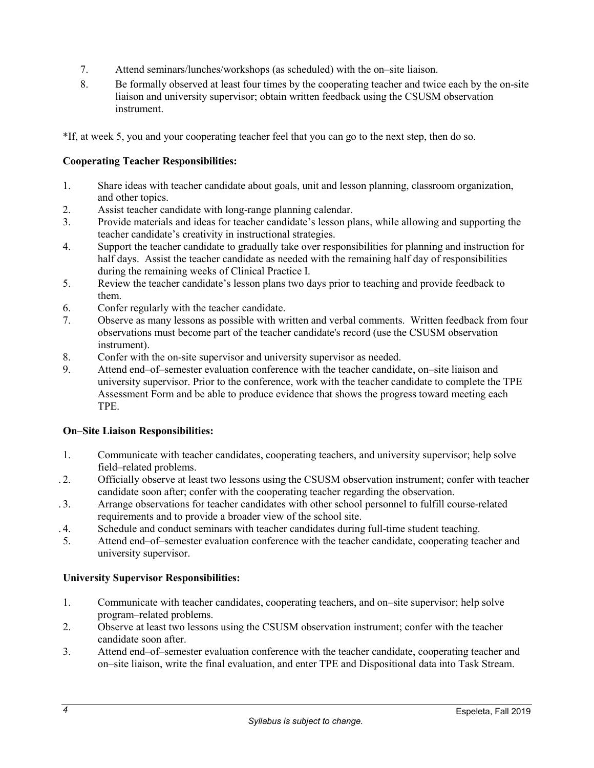- 7. Attend seminars/lunches/workshops (as scheduled) with the on–site liaison.
- 8. Be formally observed at least four times by the cooperating teacher and twice each by the on-site liaison and university supervisor; obtain written feedback using the CSUSM observation instrument.

\*If, at week 5, you and your cooperating teacher feel that you can go to the next step, then do so.

# **Cooperating Teacher Responsibilities:**

- 1. Share ideas with teacher candidate about goals, unit and lesson planning, classroom organization, and other topics.
- 2. Assist teacher candidate with long-range planning calendar.
- 3. Provide materials and ideas for teacher candidate's lesson plans, while allowing and supporting the teacher candidate's creativity in instructional strategies.
- 4. Support the teacher candidate to gradually take over responsibilities for planning and instruction for half days. Assist the teacher candidate as needed with the remaining half day of responsibilities during the remaining weeks of Clinical Practice I.
- 5. Review the teacher candidate's lesson plans two days prior to teaching and provide feedback to them.
- 6. Confer regularly with the teacher candidate.
- 7. Observe as many lessons as possible with written and verbal comments. Written feedback from four observations must become part of the teacher candidate's record (use the CSUSM observation instrument).
- 8. Confer with the on-site supervisor and university supervisor as needed.
- 9. Attend end–of–semester evaluation conference with the teacher candidate, on–site liaison and university supervisor. Prior to the conference, work with the teacher candidate to complete the TPE Assessment Form and be able to produce evidence that shows the progress toward meeting each TPE.

# **On–Site Liaison Responsibilities:**

- 1. Communicate with teacher candidates, cooperating teachers, and university supervisor; help solve field–related problems.
- . 2. Officially observe at least two lessons using the CSUSM observation instrument; confer with teacher candidate soon after; confer with the cooperating teacher regarding the observation.
- . 3. Arrange observations for teacher candidates with other school personnel to fulfill course-related requirements and to provide a broader view of the school site.
- . 4. Schedule and conduct seminars with teacher candidates during full-time student teaching.
- 5. Attend end–of–semester evaluation conference with the teacher candidate, cooperating teacher and university supervisor.

# **University Supervisor Responsibilities:**

- 1. Communicate with teacher candidates, cooperating teachers, and on–site supervisor; help solve program–related problems.
- 2. Observe at least two lessons using the CSUSM observation instrument; confer with the teacher candidate soon after.
- 3. Attend end–of–semester evaluation conference with the teacher candidate, cooperating teacher and on–site liaison, write the final evaluation, and enter TPE and Dispositional data into Task Stream.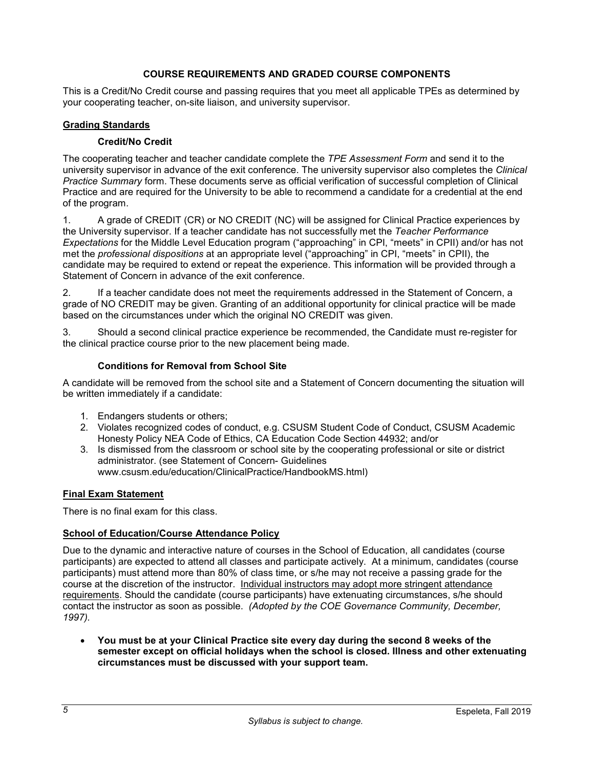# **COURSE REQUIREMENTS AND GRADED COURSE COMPONENTS**

<span id="page-6-6"></span><span id="page-6-0"></span>This is a Credit/No Credit course and passing requires that you meet all applicable TPEs as determined by your cooperating teacher, on-site liaison, and university supervisor.

# <span id="page-6-2"></span><span id="page-6-1"></span>**Grading Standards**

### **Credit/No Credit**

The cooperating teacher and teacher candidate complete the *TPE Assessment Form* and send it to the university supervisor in advance of the exit conference. The university supervisor also completes the *Clinical Practice Summary* form. These documents serve as official verification of successful completion of Clinical Practice and are required for the University to be able to recommend a candidate for a credential at the end of the program.

1. A grade of CREDIT (CR) or NO CREDIT (NC) will be assigned for Clinical Practice experiences by the University supervisor. If a teacher candidate has not successfully met the *Teacher Performance Expectations* for the Middle Level Education program ("approaching" in CPI, "meets" in CPII) and/or has not met the *professional dispositions* at an appropriate level ("approaching" in CPI, "meets" in CPII), the candidate may be required to extend or repeat the experience. This information will be provided through a Statement of Concern in advance of the exit conference.

2. If a teacher candidate does not meet the requirements addressed in the Statement of Concern, a grade of NO CREDIT may be given. Granting of an additional opportunity for clinical practice will be made based on the circumstances under which the original NO CREDIT was given.

3. Should a second clinical practice experience be recommended, the Candidate must re-register for the clinical practice course prior to the new placement being made.

### **Conditions for Removal from School Site**

<span id="page-6-3"></span>A candidate will be removed from the school site and a Statement of Concern documenting the situation will be written immediately if a candidate:

- 1. Endangers students or others;
- 2. Violates recognized codes of conduct, e.g. CSUSM Student Code of Conduct, CSUSM Academic Honesty Policy NEA Code of Ethics, CA Education Code Section 44932; and/or
- 3. Is dismissed from the classroom or school site by the cooperating professional or site or district administrator. (see Statement of Concern- Guidelines www.csusm.edu/education/ClinicalPractice/HandbookMS.html)

### <span id="page-6-4"></span>**Final Exam Statement**

There is no final exam for this class.

### <span id="page-6-5"></span>**School of Education/Course Attendance Policy**

Due to the dynamic and interactive nature of courses in the School of Education, all candidates (course participants) are expected to attend all classes and participate actively. At a minimum, candidates (course participants) must attend more than 80% of class time, or s/he may not receive a passing grade for the course at the discretion of the instructor. Individual instructors may adopt more stringent attendance requirements. Should the candidate (course participants) have extenuating circumstances, s/he should contact the instructor as soon as possible. *(Adopted by the COE Governance Community, December, 1997).*

• **You must be at your Clinical Practice site every day during the second 8 weeks of the semester except on official holidays when the school is closed. Illness and other extenuating circumstances must be discussed with your support team.**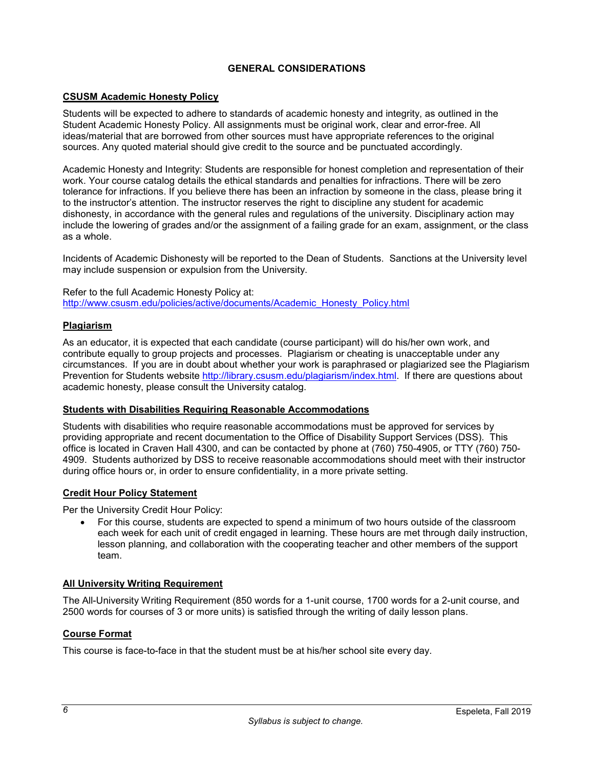# **GENERAL CONSIDERATIONS**

### <span id="page-7-6"></span><span id="page-7-0"></span>**CSUSM Academic Honesty Policy**

Students will be expected to adhere to standards of academic honesty and integrity, as outlined in the Student Academic Honesty Policy. All assignments must be original work, clear and error-free. All ideas/material that are borrowed from other sources must have appropriate references to the original sources. Any quoted material should give credit to the source and be punctuated accordingly.

Academic Honesty and Integrity: Students are responsible for honest completion and representation of their work. Your course catalog details the ethical standards and penalties for infractions. There will be zero tolerance for infractions. If you believe there has been an infraction by someone in the class, please bring it to the instructor's attention. The instructor reserves the right to discipline any student for academic dishonesty, in accordance with the general rules and regulations of the university. Disciplinary action may include the lowering of grades and/or the assignment of a failing grade for an exam, assignment, or the class as a whole.

Incidents of Academic Dishonesty will be reported to the Dean of Students. Sanctions at the University level may include suspension or expulsion from the University.

Refer to the full Academic Honesty Policy at: [http://www.csusm.edu/policies/active/documents/Academic\\_Honesty\\_Policy.html](http://www.csusm.edu/policies/active/documents/Academic_Honesty_Policy.html)

### <span id="page-7-1"></span>**Plagiarism**

As an educator, it is expected that each candidate (course participant) will do his/her own work, and contribute equally to group projects and processes. Plagiarism or cheating is unacceptable under any circumstances. If you are in doubt about whether your work is paraphrased or plagiarized see the Plagiarism Prevention for Students website [http://library.csusm.edu/plagiarism/index.html.](http://library.csusm.edu/plagiarism/index.html) If there are questions about academic honesty, please consult the University catalog.

### <span id="page-7-2"></span>**Students with Disabilities Requiring Reasonable Accommodations**

Students with disabilities who require reasonable accommodations must be approved for services by providing appropriate and recent documentation to the Office of Disability Support Services (DSS). This office is located in Craven Hall 4300, and can be contacted by phone at (760) 750-4905, or TTY (760) 750- 4909. Students authorized by DSS to receive reasonable accommodations should meet with their instructor during office hours or, in order to ensure confidentiality, in a more private setting.

### <span id="page-7-3"></span>**Credit Hour Policy Statement**

Per the University Credit Hour Policy:

• For this course, students are expected to spend a minimum of two hours outside of the classroom each week for each unit of credit engaged in learning. These hours are met through daily instruction, lesson planning, and collaboration with the cooperating teacher and other members of the support team.

### <span id="page-7-4"></span>**All University Writing Requirement**

The All-University Writing Requirement (850 words for a 1-unit course, 1700 words for a 2-unit course, and 2500 words for courses of 3 or more units) is satisfied through the writing of daily lesson plans.

### <span id="page-7-5"></span>**Course Format**

This course is face-to-face in that the student must be at his/her school site every day.